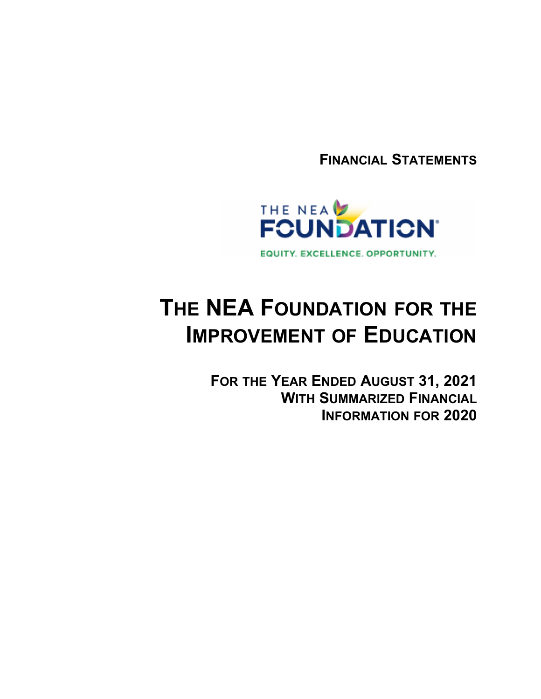**FINANCIAL STATEMENTS**



# **THE NEA FOUNDATION FOR THE IMPROVEMENT OF EDUCATION**

**FOR THE YEAR ENDED AUGUST 31, 2021 WITH SUMMARIZED FINANCIAL INFORMATION FOR 2020**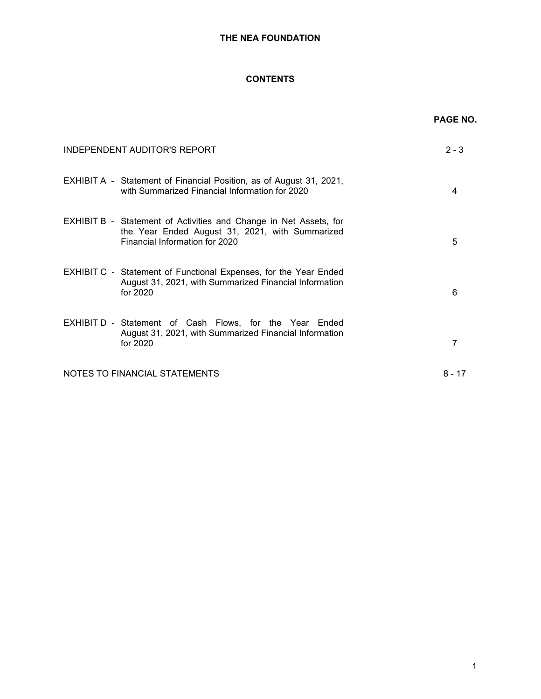# **CONTENTS**

|                                                                                                                                                        | <b>PAGE NO.</b> |
|--------------------------------------------------------------------------------------------------------------------------------------------------------|-----------------|
| <b>INDEPENDENT AUDITOR'S REPORT</b>                                                                                                                    | $2 - 3$         |
| EXHIBIT A - Statement of Financial Position, as of August 31, 2021,<br>with Summarized Financial Information for 2020                                  | 4               |
| EXHIBIT B - Statement of Activities and Change in Net Assets, for<br>the Year Ended August 31, 2021, with Summarized<br>Financial Information for 2020 | 5               |
| <b>EXHIBIT C - Statement of Functional Expenses, for the Year Ended</b><br>August 31, 2021, with Summarized Financial Information<br>for 2020          | 6               |
| EXHIBIT D - Statement of Cash Flows, for the Year Ended<br>August 31, 2021, with Summarized Financial Information<br>for 2020                          | 7               |
| NOTES TO FINANCIAL STATEMENTS                                                                                                                          | $8 - 17$        |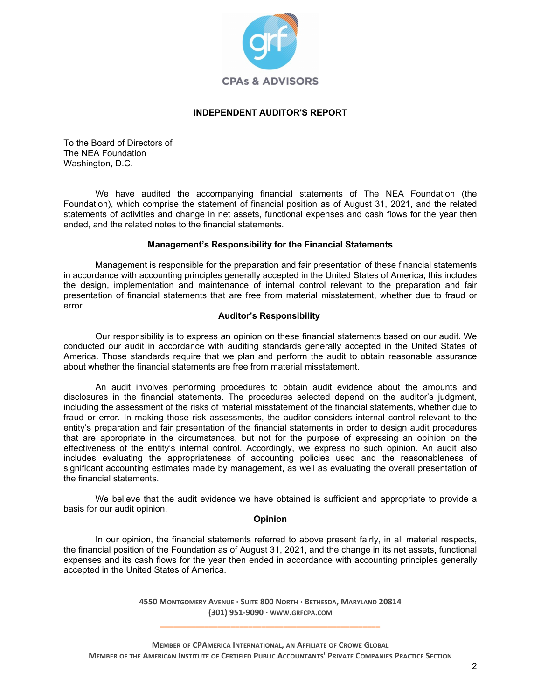

# **INDEPENDENT AUDITOR'S REPORT**

To the Board of Directors of The NEA Foundation Washington, D.C.

We have audited the accompanying financial statements of The NEA Foundation (the Foundation), which comprise the statement of financial position as of August 31, 2021, and the related statements of activities and change in net assets, functional expenses and cash flows for the year then ended, and the related notes to the financial statements.

# **Management's Responsibility for the Financial Statements**

Management is responsible for the preparation and fair presentation of these financial statements in accordance with accounting principles generally accepted in the United States of America; this includes the design, implementation and maintenance of internal control relevant to the preparation and fair presentation of financial statements that are free from material misstatement, whether due to fraud or error.

# **Auditor's Responsibility**

Our responsibility is to express an opinion on these financial statements based on our audit. We conducted our audit in accordance with auditing standards generally accepted in the United States of America. Those standards require that we plan and perform the audit to obtain reasonable assurance about whether the financial statements are free from material misstatement.

An audit involves performing procedures to obtain audit evidence about the amounts and disclosures in the financial statements. The procedures selected depend on the auditor's judgment, including the assessment of the risks of material misstatement of the financial statements, whether due to fraud or error. In making those risk assessments, the auditor considers internal control relevant to the entity's preparation and fair presentation of the financial statements in order to design audit procedures that are appropriate in the circumstances, but not for the purpose of expressing an opinion on the effectiveness of the entity's internal control. Accordingly, we express no such opinion. An audit also includes evaluating the appropriateness of accounting policies used and the reasonableness of significant accounting estimates made by management, as well as evaluating the overall presentation of the financial statements.

We believe that the audit evidence we have obtained is sufficient and appropriate to provide a basis for our audit opinion.

# **Opinion**

In our opinion, the financial statements referred to above present fairly, in all material respects, the financial position of the Foundation as of August 31, 2021, and the change in its net assets, functional expenses and its cash flows for the year then ended in accordance with accounting principles generally accepted in the United States of America.

> **4550 MONTGOMERY AVENUE · SUITE 800 NORTH · BETHESDA, MARYLAND 20814 (301) 951-9090 · WWW.GRFCPA.COM \_\_\_\_\_\_\_\_\_\_\_\_\_\_\_\_\_\_\_\_\_\_\_\_\_\_\_\_\_\_\_\_\_\_\_\_\_\_\_\_\_\_\_\_\_\_\_\_\_\_**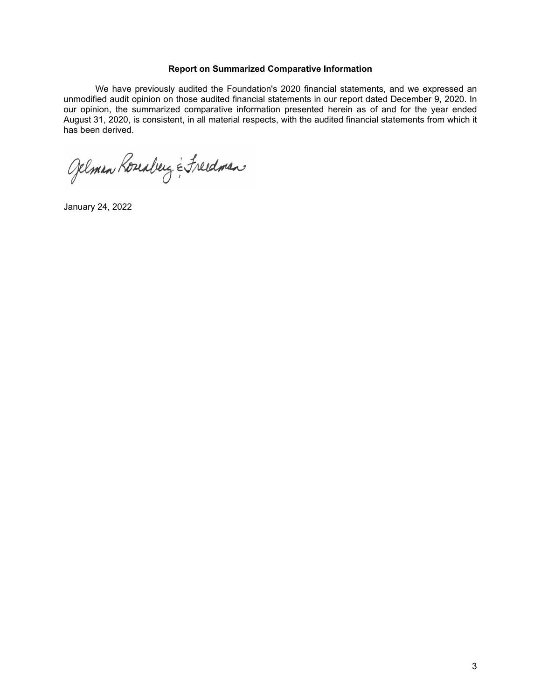# **Report on Summarized Comparative Information**

We have previously audited the Foundation's 2020 financial statements, and we expressed an unmodified audit opinion on those audited financial statements in our report dated December 9, 2020. In our opinion, the summarized comparative information presented herein as of and for the year ended August 31, 2020, is consistent, in all material respects, with the audited financial statements from which it has been derived.

Gelman Roseaberg & Freedman

January 24, 2022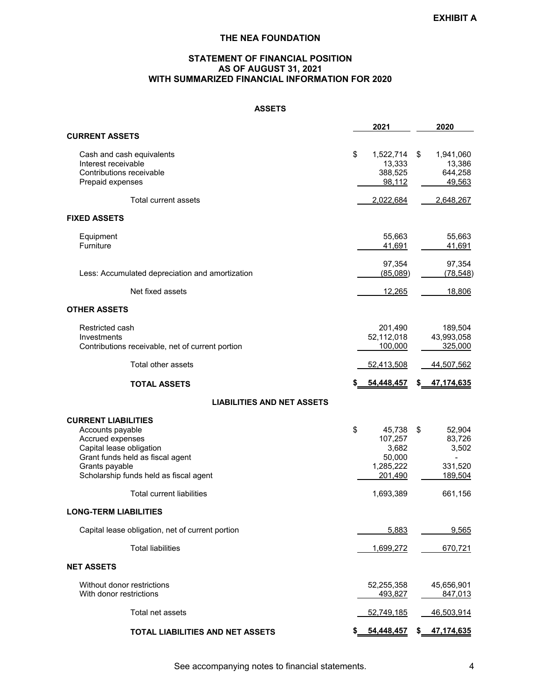# **STATEMENT OF FINANCIAL POSITION AS OF AUGUST 31, 2021 WITH SUMMARIZED FINANCIAL INFORMATION FOR 2020**

# **ASSETS**

|                                                                                                                                                                                                | 2021                                                               |     | 2020                                            |
|------------------------------------------------------------------------------------------------------------------------------------------------------------------------------------------------|--------------------------------------------------------------------|-----|-------------------------------------------------|
| <b>CURRENT ASSETS</b>                                                                                                                                                                          |                                                                    |     |                                                 |
| Cash and cash equivalents<br>Interest receivable<br>Contributions receivable<br>Prepaid expenses                                                                                               | \$<br>1,522,714<br>13,333<br>388,525<br>98,112                     | \$  | 1,941,060<br>13,386<br>644,258<br>49,563        |
| Total current assets                                                                                                                                                                           | 2,022,684                                                          |     | 2,648,267                                       |
| <b>FIXED ASSETS</b>                                                                                                                                                                            |                                                                    |     |                                                 |
| Equipment<br>Furniture                                                                                                                                                                         | 55,663<br>41,691                                                   |     | 55,663<br>41,691                                |
| Less: Accumulated depreciation and amortization                                                                                                                                                | 97,354<br>(85,089)                                                 |     | 97,354<br>(78, 548)                             |
| Net fixed assets                                                                                                                                                                               | <u>12,265</u>                                                      |     | 18,806                                          |
| <b>OTHER ASSETS</b>                                                                                                                                                                            |                                                                    |     |                                                 |
| Restricted cash<br>Investments<br>Contributions receivable, net of current portion                                                                                                             | 201,490<br>52,112,018<br>100,000                                   |     | 189,504<br>43,993,058<br>325,000                |
| Total other assets                                                                                                                                                                             | 52,413,508                                                         |     | 44,507,562                                      |
| <b>TOTAL ASSETS</b>                                                                                                                                                                            | 54,448,457                                                         | S.  | 47, 174, 635                                    |
| <b>LIABILITIES AND NET ASSETS</b>                                                                                                                                                              |                                                                    |     |                                                 |
| <b>CURRENT LIABILITIES</b><br>Accounts payable<br>Accrued expenses<br>Capital lease obligation<br>Grant funds held as fiscal agent<br>Grants payable<br>Scholarship funds held as fiscal agent | \$<br>45,738<br>107,257<br>3,682<br>50,000<br>1,285,222<br>201,490 | \$  | 52,904<br>83,726<br>3,502<br>331,520<br>189,504 |
| <b>Total current liabilities</b>                                                                                                                                                               | 1,693,389                                                          |     | 661,156                                         |
| <b>LONG-TERM LIABILITIES</b>                                                                                                                                                                   |                                                                    |     |                                                 |
| Capital lease obligation, net of current portion                                                                                                                                               | 5,883                                                              |     | 9,565                                           |
| <b>Total liabilities</b>                                                                                                                                                                       | 1,699,272                                                          |     | 670,721                                         |
| <b>NET ASSETS</b>                                                                                                                                                                              |                                                                    |     |                                                 |
| Without donor restrictions<br>With donor restrictions                                                                                                                                          | 52,255,358<br>493,827                                              |     | 45,656,901<br>847,013                           |
| Total net assets                                                                                                                                                                               | 52,749,185                                                         |     | 46,503,914                                      |
| TOTAL LIABILITIES AND NET ASSETS                                                                                                                                                               | 54,448,457                                                         | \$. | 47,174,635                                      |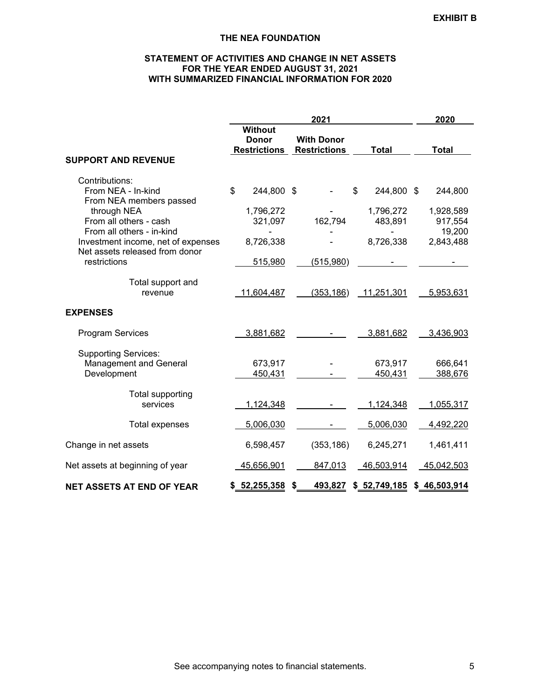# **STATEMENT OF ACTIVITIES AND CHANGE IN NET ASSETS FOR THE YEAR ENDED AUGUST 31, 2021 WITH SUMMARIZED FINANCIAL INFORMATION FOR 2020**

|                                                                                                          |                                                       | 2021                                     |                                          |                                 |  |  |  |  |
|----------------------------------------------------------------------------------------------------------|-------------------------------------------------------|------------------------------------------|------------------------------------------|---------------------------------|--|--|--|--|
|                                                                                                          | <b>Without</b><br><b>Donor</b><br><b>Restrictions</b> | <b>With Donor</b><br><b>Restrictions</b> | <b>Total</b>                             | <b>Total</b>                    |  |  |  |  |
| <b>SUPPORT AND REVENUE</b>                                                                               |                                                       |                                          |                                          |                                 |  |  |  |  |
| Contributions:<br>From NEA - In-kind<br>From NEA members passed<br>through NEA<br>From all others - cash | \$<br>244,800 \$<br>1,796,272<br>321,097              | 162,794                                  | \$<br>244,800 \$<br>1,796,272<br>483,891 | 244,800<br>1,928,589<br>917,554 |  |  |  |  |
| From all others - in-kind<br>Investment income, net of expenses<br>Net assets released from donor        | 8,726,338                                             |                                          | 8,726,338                                | 19,200<br>2,843,488             |  |  |  |  |
| restrictions                                                                                             | 515,980                                               | (515,980)                                |                                          |                                 |  |  |  |  |
| Total support and<br>revenue                                                                             | 11,604,487                                            | (353, 186)                               | 11,251,301                               | 5,953,631                       |  |  |  |  |
| <b>EXPENSES</b>                                                                                          |                                                       |                                          |                                          |                                 |  |  |  |  |
| <b>Program Services</b>                                                                                  | 3,881,682                                             |                                          | 3,881,682                                | 3,436,903                       |  |  |  |  |
| <b>Supporting Services:</b><br><b>Management and General</b><br>Development                              | 673,917<br>450,431                                    |                                          | 673,917<br>450,431                       | 666,641<br>388,676              |  |  |  |  |
| Total supporting<br>services                                                                             | 1,124,348                                             |                                          | 1,124,348                                | 1,055,317                       |  |  |  |  |
| <b>Total expenses</b>                                                                                    | 5,006,030                                             |                                          | 5,006,030                                | 4,492,220                       |  |  |  |  |
| Change in net assets                                                                                     | 6,598,457                                             | (353, 186)                               | 6,245,271                                | 1,461,411                       |  |  |  |  |
| Net assets at beginning of year                                                                          | 45,656,901                                            | 847,013                                  | 46,503,914                               | 45,042,503                      |  |  |  |  |
| <b>NET ASSETS AT END OF YEAR</b>                                                                         | \$ 52, 255, 358                                       | 493,827<br>S                             | \$ 52,749,185                            | \$46,503,914                    |  |  |  |  |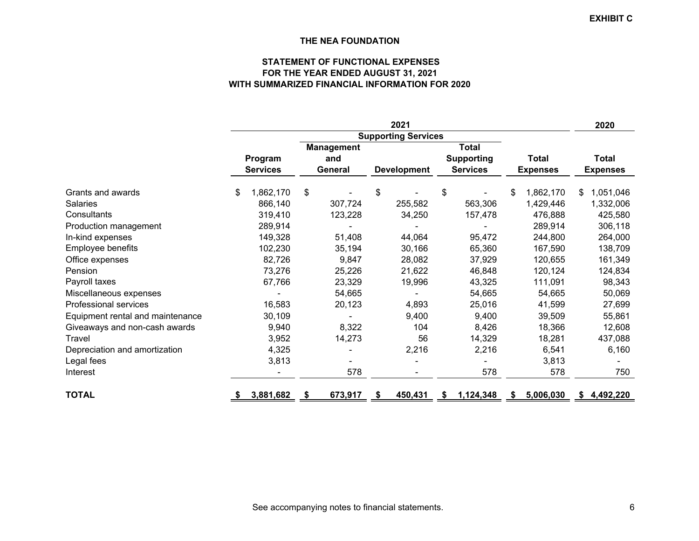# **STATEMENT OF FUNCTIONAL EXPENSESFOR THE YEAR ENDED AUGUST 31, 2021 WITH SUMMARIZED FINANCIAL INFORMATION FOR 2020**

|                                  | 2021 |                 |    |                   |    |                            |                   |                 |                 |              |                 | 2020        |
|----------------------------------|------|-----------------|----|-------------------|----|----------------------------|-------------------|-----------------|-----------------|--------------|-----------------|-------------|
|                                  |      |                 |    |                   |    | <b>Supporting Services</b> |                   |                 |                 |              |                 |             |
|                                  |      |                 |    | <b>Management</b> |    |                            |                   | Total           |                 |              |                 |             |
|                                  |      | Program         |    | and               |    |                            | <b>Supporting</b> | <b>Total</b>    |                 | <b>Total</b> |                 |             |
|                                  |      | <b>Services</b> |    | General           |    | <b>Development</b>         |                   | <b>Services</b> | <b>Expenses</b> |              | <b>Expenses</b> |             |
| Grants and awards                | \$   | 1,862,170       | \$ |                   | \$ |                            | \$                |                 | \$              | 1,862,170    | \$              | 1,051,046   |
| <b>Salaries</b>                  |      | 866,140         |    | 307,724           |    | 255,582                    |                   | 563,306         |                 | 1,429,446    |                 | 1,332,006   |
| Consultants                      |      | 319,410         |    | 123,228           |    | 34,250                     |                   | 157,478         |                 | 476,888      |                 | 425,580     |
| Production management            |      | 289,914         |    |                   |    |                            |                   |                 |                 | 289,914      |                 | 306,118     |
| In-kind expenses                 |      | 149,328         |    | 51,408            |    | 44,064                     |                   | 95,472          |                 | 244,800      |                 | 264,000     |
| Employee benefits                |      | 102,230         |    | 35,194            |    | 30,166                     |                   | 65,360          |                 | 167,590      |                 | 138,709     |
| Office expenses                  |      | 82,726          |    | 9,847             |    | 28,082                     |                   | 37,929          |                 | 120,655      |                 | 161,349     |
| Pension                          |      | 73,276          |    | 25,226            |    | 21,622                     |                   | 46,848          |                 | 120,124      |                 | 124,834     |
| Payroll taxes                    |      | 67,766          |    | 23,329            |    | 19,996                     |                   | 43,325          |                 | 111,091      |                 | 98,343      |
| Miscellaneous expenses           |      |                 |    | 54,665            |    |                            |                   | 54,665          |                 | 54,665       |                 | 50,069      |
| Professional services            |      | 16,583          |    | 20,123            |    | 4,893                      |                   | 25,016          |                 | 41,599       |                 | 27,699      |
| Equipment rental and maintenance |      | 30,109          |    |                   |    | 9,400                      |                   | 9,400           |                 | 39,509       |                 | 55,861      |
| Giveaways and non-cash awards    |      | 9,940           |    | 8,322             |    | 104                        |                   | 8,426           |                 | 18,366       |                 | 12,608      |
| Travel                           |      | 3,952           |    | 14,273            |    | 56                         |                   | 14,329          |                 | 18,281       |                 | 437,088     |
| Depreciation and amortization    |      | 4,325           |    |                   |    | 2,216                      |                   | 2,216           |                 | 6,541        |                 | 6,160       |
| Legal fees                       |      | 3,813           |    |                   |    |                            |                   |                 |                 | 3,813        |                 |             |
| Interest                         |      |                 |    | 578               |    |                            |                   | 578             |                 | 578          |                 | 750         |
| <b>TOTAL</b>                     | SБ.  | 3,881,682       | 5  | 673,917           | S. | 450,431                    | S.                | 1,124,348       | S.              | 5,006,030    |                 | \$4,492,220 |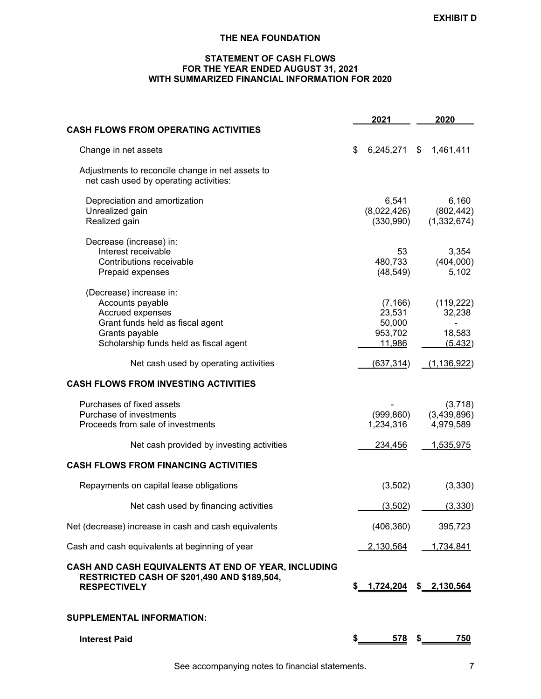# **STATEMENT OF CASH FLOWS FOR THE YEAR ENDED AUGUST 31, 2021 WITH SUMMARIZED FINANCIAL INFORMATION FOR 2020**

|                                                                                                                                                                 | 2021                                              | 2020                                       |
|-----------------------------------------------------------------------------------------------------------------------------------------------------------------|---------------------------------------------------|--------------------------------------------|
| <b>CASH FLOWS FROM OPERATING ACTIVITIES</b>                                                                                                                     |                                                   |                                            |
| Change in net assets                                                                                                                                            | \$<br>6,245,271                                   | \$<br>1,461,411                            |
| Adjustments to reconcile change in net assets to<br>net cash used by operating activities:                                                                      |                                                   |                                            |
| Depreciation and amortization<br>Unrealized gain<br>Realized gain                                                                                               | 6,541<br>(8,022,426)<br>(330,990)                 | 6,160<br>(802, 442)<br>(1, 332, 674)       |
| Decrease (increase) in:<br>Interest receivable<br>Contributions receivable<br>Prepaid expenses                                                                  | 53<br>480,733<br>(48, 549)                        | 3,354<br>(404,000)<br>5,102                |
| (Decrease) increase in:<br>Accounts payable<br>Accrued expenses<br>Grant funds held as fiscal agent<br>Grants payable<br>Scholarship funds held as fiscal agent | (7, 166)<br>23,531<br>50,000<br>953,702<br>11,986 | (119, 222)<br>32,238<br>18,583<br>(5, 432) |
| Net cash used by operating activities                                                                                                                           | (637, 314)                                        | (1, 136, 922)                              |
| <b>CASH FLOWS FROM INVESTING ACTIVITIES</b>                                                                                                                     |                                                   |                                            |
| Purchases of fixed assets<br>Purchase of investments<br>Proceeds from sale of investments                                                                       | (999, 860)<br>1,234,316                           | (3,718)<br>(3,439,896)<br>4,979,589        |
| Net cash provided by investing activities                                                                                                                       | 234,456                                           | 1,535,975                                  |
| <b>CASH FLOWS FROM FINANCING ACTIVITIES</b>                                                                                                                     |                                                   |                                            |
| Repayments on capital lease obligations                                                                                                                         | (3,502)                                           | (3,330)                                    |
| Net cash used by financing activities                                                                                                                           | (3,502)                                           | (3,330)                                    |
| Net (decrease) increase in cash and cash equivalents                                                                                                            | (406, 360)                                        | 395,723                                    |
| Cash and cash equivalents at beginning of year                                                                                                                  | 2,130,564                                         | 1,734,841                                  |
| CASH AND CASH EQUIVALENTS AT END OF YEAR, INCLUDING<br><b>RESTRICTED CASH OF \$201,490 AND \$189,504,</b><br><b>RESPECTIVELY</b>                                | $$ 1,724,204$ $$ 2,130,564$                       |                                            |
| <b>SUPPLEMENTAL INFORMATION:</b>                                                                                                                                |                                                   |                                            |
| <b>Interest Paid</b>                                                                                                                                            | \$<br>$\frac{578}{ }$ \$                          | <b>750</b>                                 |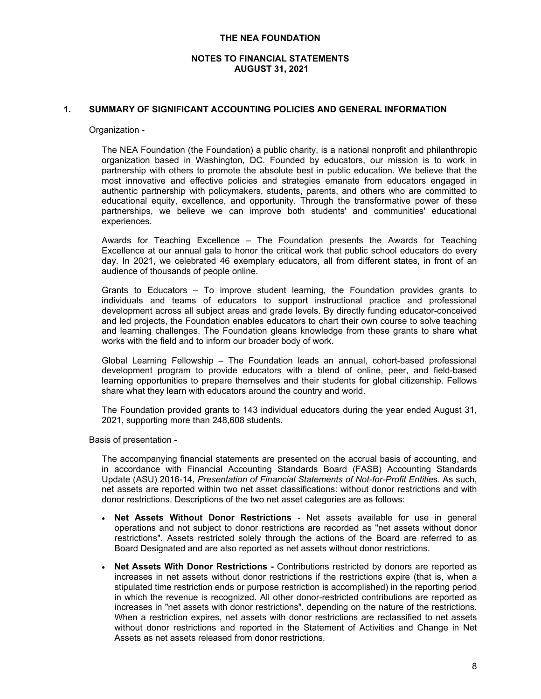# **NOTES TO FINANCIAL STATEMENTS AUGUST 31, 2021**

# **1. SUMMARY OF SIGNIFICANT ACCOUNTING POLICIES AND GENERAL INFORMATION**

#### Organization -

The NEA Foundation (the Foundation) a public charity, is a national nonprofit and philanthropic organization based in Washington, DC. Founded by educators, our mission is to work in partnership with others to promote the absolute best in public education. We believe that the most innovative and effective policies and strategies emanate from educators engaged in authentic partnership with policymakers, students, parents, and others who are committed to educational equity, excellence, and opportunity. Through the transformative power of these partnerships, we believe we can improve both students' and communities' educational experiences.

Awards for Teaching Excellence – The Foundation presents the Awards for Teaching Excellence at our annual gala to honor the critical work that public school educators do every day. In 2021, we celebrated 46 exemplary educators, all from different states, in front of an audience of thousands of people online.

Grants to Educators – To improve student learning, the Foundation provides grants to individuals and teams of educators to support instructional practice and professional development across all subject areas and grade levels. By directly funding educator-conceived and led projects, the Foundation enables educators to chart their own course to solve teaching and learning challenges. The Foundation gleans knowledge from these grants to share what works with the field and to inform our broader body of work.

Global Learning Fellowship – The Foundation leads an annual, cohort-based professional development program to provide educators with a blend of online, peer, and field-based learning opportunities to prepare themselves and their students for global citizenship. Fellows share what they learn with educators around the country and world.

The Foundation provided grants to 143 individual educators during the year ended August 31, 2021, supporting more than 248,608 students.

Basis of presentation -

The accompanying financial statements are presented on the accrual basis of accounting, and in accordance with Financial Accounting Standards Board (FASB) Accounting Standards Update (ASU) 2016-14, *Presentation of Financial Statements of Not-for-Profit Entitie*s. As such, net assets are reported within two net asset classifications: without donor restrictions and with donor restrictions. Descriptions of the two net asset categories are as follows:

- **Net Assets Without Donor Restrictions** Net assets available for use in general operations and not subject to donor restrictions are recorded as "net assets without donor restrictions". Assets restricted solely through the actions of the Board are referred to as Board Designated and are also reported as net assets without donor restrictions.
- **Net Assets With Donor Restrictions -** Contributions restricted by donors are reported as increases in net assets without donor restrictions if the restrictions expire (that is, when a stipulated time restriction ends or purpose restriction is accomplished) in the reporting period in which the revenue is recognized. All other donor-restricted contributions are reported as increases in "net assets with donor restrictions", depending on the nature of the restrictions. When a restriction expires, net assets with donor restrictions are reclassified to net assets without donor restrictions and reported in the Statement of Activities and Change in Net Assets as net assets released from donor restrictions.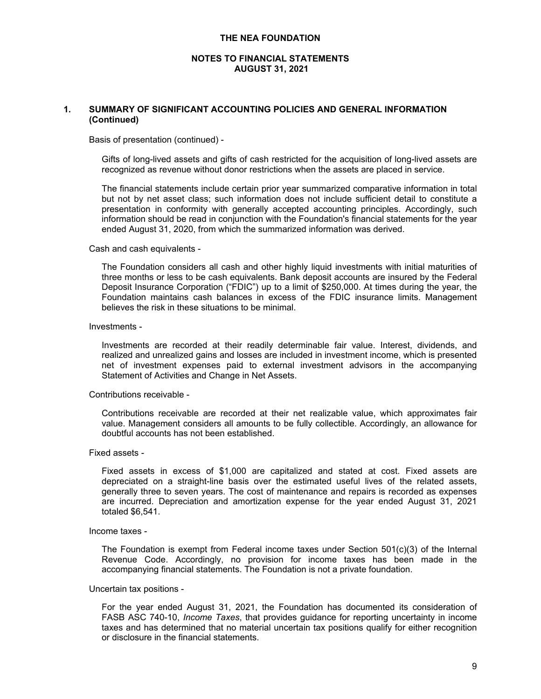# **NOTES TO FINANCIAL STATEMENTS AUGUST 31, 2021**

# **1. SUMMARY OF SIGNIFICANT ACCOUNTING POLICIES AND GENERAL INFORMATION (Continued)**

Basis of presentation (continued) -

Gifts of long-lived assets and gifts of cash restricted for the acquisition of long-lived assets are recognized as revenue without donor restrictions when the assets are placed in service.

The financial statements include certain prior year summarized comparative information in total but not by net asset class; such information does not include sufficient detail to constitute a presentation in conformity with generally accepted accounting principles. Accordingly, such information should be read in conjunction with the Foundation's financial statements for the year ended August 31, 2020, from which the summarized information was derived.

Cash and cash equivalents -

The Foundation considers all cash and other highly liquid investments with initial maturities of three months or less to be cash equivalents. Bank deposit accounts are insured by the Federal Deposit Insurance Corporation ("FDIC") up to a limit of \$250,000. At times during the year, the Foundation maintains cash balances in excess of the FDIC insurance limits. Management believes the risk in these situations to be minimal.

#### Investments -

Investments are recorded at their readily determinable fair value. Interest, dividends, and realized and unrealized gains and losses are included in investment income, which is presented net of investment expenses paid to external investment advisors in the accompanying Statement of Activities and Change in Net Assets.

## Contributions receivable -

Contributions receivable are recorded at their net realizable value, which approximates fair value. Management considers all amounts to be fully collectible. Accordingly, an allowance for doubtful accounts has not been established.

# Fixed assets -

Fixed assets in excess of \$1,000 are capitalized and stated at cost. Fixed assets are depreciated on a straight-line basis over the estimated useful lives of the related assets, generally three to seven years. The cost of maintenance and repairs is recorded as expenses are incurred. Depreciation and amortization expense for the year ended August 31, 2021 totaled \$6,541.

#### Income taxes -

The Foundation is exempt from Federal income taxes under Section  $501(c)(3)$  of the Internal Revenue Code. Accordingly, no provision for income taxes has been made in the accompanying financial statements. The Foundation is not a private foundation.

#### Uncertain tax positions -

For the year ended August 31, 2021, the Foundation has documented its consideration of FASB ASC 740-10, *Income Taxes*, that provides guidance for reporting uncertainty in income taxes and has determined that no material uncertain tax positions qualify for either recognition or disclosure in the financial statements.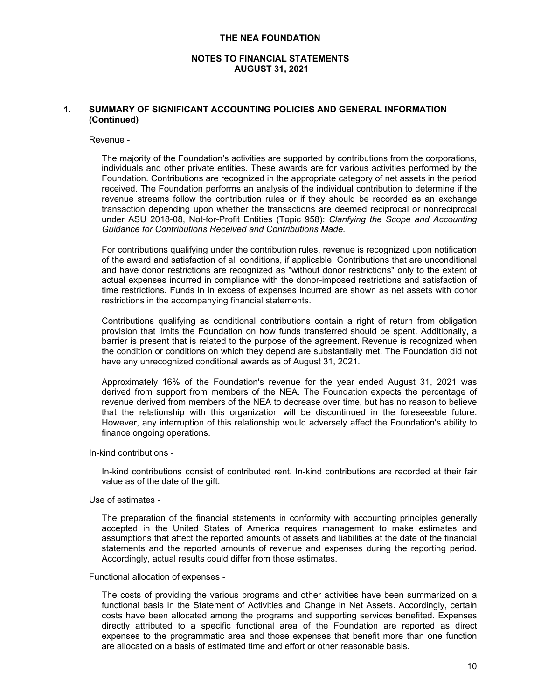# **NOTES TO FINANCIAL STATEMENTS AUGUST 31, 2021**

# **1. SUMMARY OF SIGNIFICANT ACCOUNTING POLICIES AND GENERAL INFORMATION (Continued)**

#### Revenue -

The majority of the Foundation's activities are supported by contributions from the corporations, individuals and other private entities. These awards are for various activities performed by the Foundation. Contributions are recognized in the appropriate category of net assets in the period received. The Foundation performs an analysis of the individual contribution to determine if the revenue streams follow the contribution rules or if they should be recorded as an exchange transaction depending upon whether the transactions are deemed reciprocal or nonreciprocal under ASU 2018-08, Not-for-Profit Entities (Topic 958): *Clarifying the Scope and Accounting Guidance for Contributions Received and Contributions Made.*

For contributions qualifying under the contribution rules, revenue is recognized upon notification of the award and satisfaction of all conditions, if applicable. Contributions that are unconditional and have donor restrictions are recognized as "without donor restrictions" only to the extent of actual expenses incurred in compliance with the donor-imposed restrictions and satisfaction of time restrictions. Funds in in excess of expenses incurred are shown as net assets with donor restrictions in the accompanying financial statements.

Contributions qualifying as conditional contributions contain a right of return from obligation provision that limits the Foundation on how funds transferred should be spent. Additionally, a barrier is present that is related to the purpose of the agreement. Revenue is recognized when the condition or conditions on which they depend are substantially met. The Foundation did not have any unrecognized conditional awards as of August 31, 2021.

Approximately 16% of the Foundation's revenue for the year ended August 31, 2021 was derived from support from members of the NEA. The Foundation expects the percentage of revenue derived from members of the NEA to decrease over time, but has no reason to believe that the relationship with this organization will be discontinued in the foreseeable future. However, any interruption of this relationship would adversely affect the Foundation's ability to finance ongoing operations.

In-kind contributions -

In-kind contributions consist of contributed rent. In-kind contributions are recorded at their fair value as of the date of the gift.

#### Use of estimates -

The preparation of the financial statements in conformity with accounting principles generally accepted in the United States of America requires management to make estimates and assumptions that affect the reported amounts of assets and liabilities at the date of the financial statements and the reported amounts of revenue and expenses during the reporting period. Accordingly, actual results could differ from those estimates.

#### Functional allocation of expenses -

The costs of providing the various programs and other activities have been summarized on a functional basis in the Statement of Activities and Change in Net Assets. Accordingly, certain costs have been allocated among the programs and supporting services benefited. Expenses directly attributed to a specific functional area of the Foundation are reported as direct expenses to the programmatic area and those expenses that benefit more than one function are allocated on a basis of estimated time and effort or other reasonable basis.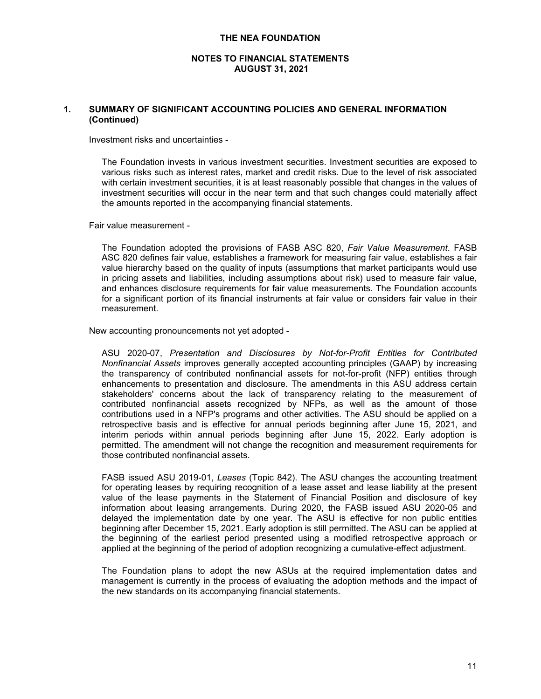# **NOTES TO FINANCIAL STATEMENTS AUGUST 31, 2021**

# **1. SUMMARY OF SIGNIFICANT ACCOUNTING POLICIES AND GENERAL INFORMATION (Continued)**

Investment risks and uncertainties -

The Foundation invests in various investment securities. Investment securities are exposed to various risks such as interest rates, market and credit risks. Due to the level of risk associated with certain investment securities, it is at least reasonably possible that changes in the values of investment securities will occur in the near term and that such changes could materially affect the amounts reported in the accompanying financial statements.

Fair value measurement -

The Foundation adopted the provisions of FASB ASC 820, *Fair Value Measurement*. FASB ASC 820 defines fair value, establishes a framework for measuring fair value, establishes a fair value hierarchy based on the quality of inputs (assumptions that market participants would use in pricing assets and liabilities, including assumptions about risk) used to measure fair value, and enhances disclosure requirements for fair value measurements. The Foundation accounts for a significant portion of its financial instruments at fair value or considers fair value in their measurement.

New accounting pronouncements not yet adopted -

ASU 2020-07, *Presentation and Disclosures by Not-for-Profit Entities for Contributed Nonfinancial Assets* improves generally accepted accounting principles (GAAP) by increasing the transparency of contributed nonfinancial assets for not-for-profit (NFP) entities through enhancements to presentation and disclosure. The amendments in this ASU address certain stakeholders' concerns about the lack of transparency relating to the measurement of contributed nonfinancial assets recognized by NFPs, as well as the amount of those contributions used in a NFP's programs and other activities. The ASU should be applied on a retrospective basis and is effective for annual periods beginning after June 15, 2021, and interim periods within annual periods beginning after June 15, 2022. Early adoption is permitted. The amendment will not change the recognition and measurement requirements for those contributed nonfinancial assets.

FASB issued ASU 2019-01, *Leases* (Topic 842). The ASU changes the accounting treatment for operating leases by requiring recognition of a lease asset and lease liability at the present value of the lease payments in the Statement of Financial Position and disclosure of key information about leasing arrangements. During 2020, the FASB issued ASU 2020-05 and delayed the implementation date by one year. The ASU is effective for non public entities beginning after December 15, 2021. Early adoption is still permitted. The ASU can be applied at the beginning of the earliest period presented using a modified retrospective approach or applied at the beginning of the period of adoption recognizing a cumulative-effect adjustment.

The Foundation plans to adopt the new ASUs at the required implementation dates and management is currently in the process of evaluating the adoption methods and the impact of the new standards on its accompanying financial statements.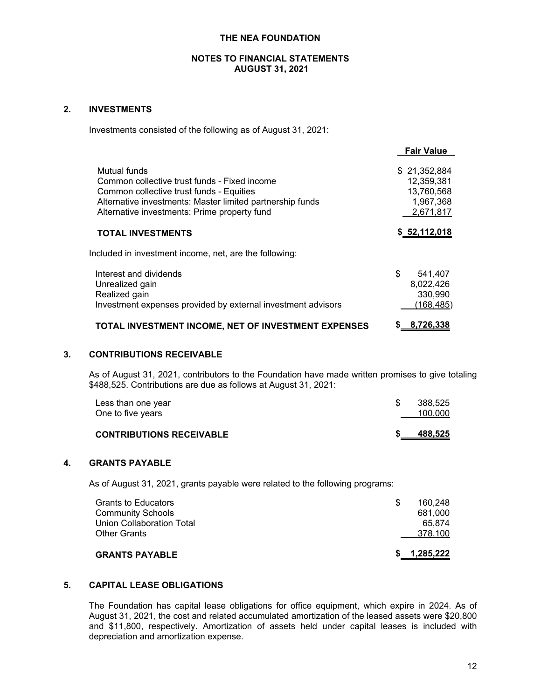# **2. INVESTMENTS**

Investments consisted of the following as of August 31, 2021:

|                                                                                                                                                                                                                       | <b>Fair value</b>                                                  |
|-----------------------------------------------------------------------------------------------------------------------------------------------------------------------------------------------------------------------|--------------------------------------------------------------------|
| Mutual funds<br>Common collective trust funds - Fixed income<br>Common collective trust funds - Equities<br>Alternative investments: Master limited partnership funds<br>Alternative investments: Prime property fund | \$21,352,884<br>12,359,381<br>13,760,568<br>1,967,368<br>2,671,817 |
| <b>TOTAL INVESTMENTS</b>                                                                                                                                                                                              | \$52,112,018                                                       |
| Included in investment income, net, are the following:                                                                                                                                                                |                                                                    |
| Interest and dividends<br>Unrealized gain<br>Realized gain<br>Investment expenses provided by external investment advisors                                                                                            | \$<br>541,407<br>8,022,426<br>330,990<br>(168, 485)                |
| TOTAL INVESTMENT INCOME, NET OF INVESTMENT EXPENSES                                                                                                                                                                   | 8.726.338                                                          |

# **3. CONTRIBUTIONS RECEIVABLE**

As of August 31, 2021, contributors to the Foundation have made written promises to give totaling \$488,525. Contributions are due as follows at August 31, 2021:

| Less than one year<br>One to five years | 388.525<br>100.000 |
|-----------------------------------------|--------------------|
| <b>CONTRIBUTIONS RECEIVABLE</b>         | 488,525            |

# **4. GRANTS PAYABLE**

As of August 31, 2021, grants payable were related to the following programs:

| <b>GRANTS PAYABLE</b>      | 1.285.222 |  |
|----------------------------|-----------|--|
| <b>Other Grants</b>        | 378.100   |  |
| Union Collaboration Total  | 65.874    |  |
| <b>Community Schools</b>   | 681.000   |  |
| <b>Grants to Educators</b> | 160.248   |  |
|                            |           |  |

# **5. CAPITAL LEASE OBLIGATIONS**

The Foundation has capital lease obligations for office equipment, which expire in 2024. As of August 31, 2021, the cost and related accumulated amortization of the leased assets were \$20,800 and \$11,800, respectively. Amortization of assets held under capital leases is included with depreciation and amortization expense.

**Fair Value**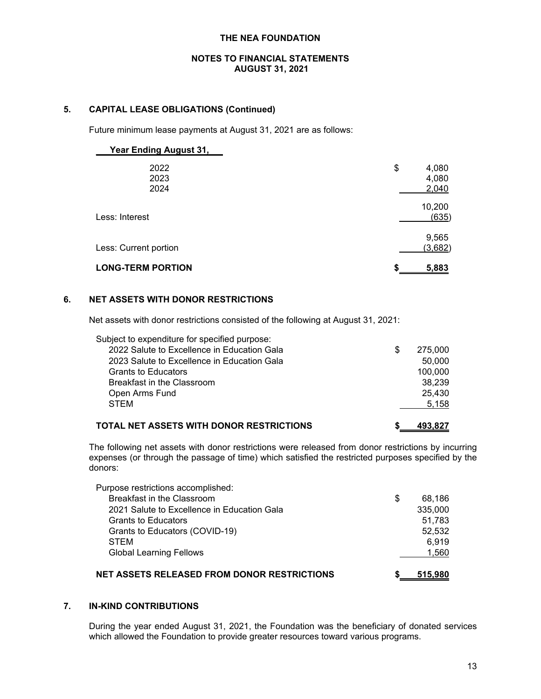# **5. CAPITAL LEASE OBLIGATIONS (Continued)**

Future minimum lease payments at August 31, 2021 are as follows:

| <b>Year Ending August 31,</b> |                               |
|-------------------------------|-------------------------------|
| 2022<br>2023<br>2024          | \$<br>4,080<br>4,080<br>2,040 |
| Less: Interest                | 10,200<br>(635)               |
| Less: Current portion         | 9,565<br>(3,682)              |
| <b>LONG-TERM PORTION</b>      | 5,883                         |

# **6. NET ASSETS WITH DONOR RESTRICTIONS**

Net assets with donor restrictions consisted of the following at August 31, 2021:

| Subject to expenditure for specified purpose: |   |         |
|-----------------------------------------------|---|---------|
| 2022 Salute to Excellence in Education Gala   | S | 275,000 |
| 2023 Salute to Excellence in Education Gala   |   | 50.000  |
| <b>Grants to Educators</b>                    |   | 100.000 |
| Breakfast in the Classroom                    |   | 38.239  |
| Open Arms Fund                                |   | 25.430  |
| <b>STEM</b>                                   |   | 5.158   |
|                                               |   |         |

# **TOTAL NET ASSETS WITH DONOR RESTRICTIONS \$ 493,827**

The following net assets with donor restrictions were released from donor restrictions by incurring expenses (or through the passage of time) which satisfied the restricted purposes specified by the donors:

| Purpose restrictions accomplished:                 |              |
|----------------------------------------------------|--------------|
| Breakfast in the Classroom                         | \$<br>68.186 |
| 2021 Salute to Excellence in Education Gala        | 335,000      |
| <b>Grants to Educators</b>                         | 51.783       |
| Grants to Educators (COVID-19)                     | 52.532       |
| <b>STEM</b>                                        | 6.919        |
| <b>Global Learning Fellows</b>                     | 1,560        |
| <b>NET ASSETS RELEASED FROM DONOR RESTRICTIONS</b> | 515,980      |

# **7. IN-KIND CONTRIBUTIONS**

During the year ended August 31, 2021, the Foundation was the beneficiary of donated services which allowed the Foundation to provide greater resources toward various programs.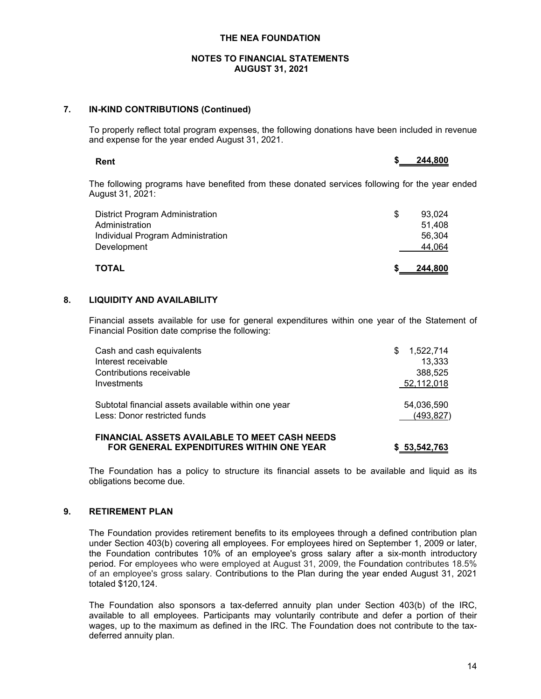# **7. IN-KIND CONTRIBUTIONS (Continued)**

To properly reflect total program expenses, the following donations have been included in revenue and expense for the year ended August 31, 2021.

| Rent             |                                                                                                |  |  | 244,800 |  |
|------------------|------------------------------------------------------------------------------------------------|--|--|---------|--|
| August 31, 2021: | The following programs have benefited from these donated services following for the year ended |  |  |         |  |
|                  |                                                                                                |  |  |         |  |

| TOTAL                                  | 244,800 |
|----------------------------------------|---------|
| Development                            | 44.064  |
| Individual Program Administration      | 56.304  |
| Administration                         | 51.408  |
| <b>District Program Administration</b> | 93,024  |

# **8. LIQUIDITY AND AVAILABILITY**

Financial assets available for use for general expenditures within one year of the Statement of Financial Position date comprise the following:

| Cash and cash equivalents                           | S | 1,522,714  |
|-----------------------------------------------------|---|------------|
| Interest receivable                                 |   | 13.333     |
| Contributions receivable                            |   | 388.525    |
| Investments                                         |   | 52,112,018 |
| Subtotal financial assets available within one year |   | 54,036,590 |
| Less: Donor restricted funds                        |   | (493, 827) |
| FINANCIAL ASSETS AVAILABLE TO MEET CASH NEEDS       |   |            |

**FOR GENERAL EXPENDITURES WITHIN ONE YEAR \$ 53,542,763**

The Foundation has a policy to structure its financial assets to be available and liquid as its obligations become due.

# **9. RETIREMENT PLAN**

The Foundation provides retirement benefits to its employees through a defined contribution plan under Section 403(b) covering all employees. For employees hired on September 1, 2009 or later, the Foundation contributes 10% of an employee's gross salary after a six-month introductory period. For employees who were employed at August 31, 2009, the Foundation contributes 18.5% of an employee's gross salary. Contributions to the Plan during the year ended August 31, 2021 totaled \$120,124.

The Foundation also sponsors a tax-deferred annuity plan under Section 403(b) of the IRC, available to all employees. Participants may voluntarily contribute and defer a portion of their wages, up to the maximum as defined in the IRC. The Foundation does not contribute to the taxdeferred annuity plan.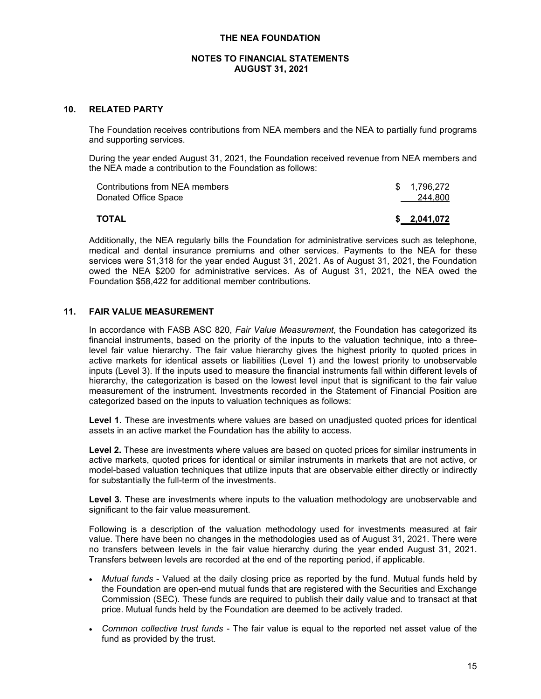# **10. RELATED PARTY**

The Foundation receives contributions from NEA members and the NEA to partially fund programs and supporting services.

During the year ended August 31, 2021, the Foundation received revenue from NEA members and the NEA made a contribution to the Foundation as follows:

| Contributions from NEA members | \$1,796,272 |
|--------------------------------|-------------|
| Donated Office Space           | 244,800     |
|                                |             |
| ΤΟΤΑL                          | \$2,041,072 |

Additionally, the NEA regularly bills the Foundation for administrative services such as telephone, medical and dental insurance premiums and other services. Payments to the NEA for these services were \$1,318 for the year ended August 31, 2021. As of August 31, 2021, the Foundation owed the NEA \$200 for administrative services. As of August 31, 2021, the NEA owed the Foundation \$58,422 for additional member contributions.

# **11. FAIR VALUE MEASUREMENT**

In accordance with FASB ASC 820, *Fair Value Measurement*, the Foundation has categorized its financial instruments, based on the priority of the inputs to the valuation technique, into a threelevel fair value hierarchy. The fair value hierarchy gives the highest priority to quoted prices in active markets for identical assets or liabilities (Level 1) and the lowest priority to unobservable inputs (Level 3). If the inputs used to measure the financial instruments fall within different levels of hierarchy, the categorization is based on the lowest level input that is significant to the fair value measurement of the instrument. Investments recorded in the Statement of Financial Position are categorized based on the inputs to valuation techniques as follows:

**Level 1.** These are investments where values are based on unadjusted quoted prices for identical assets in an active market the Foundation has the ability to access.

**Level 2.** These are investments where values are based on quoted prices for similar instruments in active markets, quoted prices for identical or similar instruments in markets that are not active, or model-based valuation techniques that utilize inputs that are observable either directly or indirectly for substantially the full-term of the investments.

Level 3. These are investments where inputs to the valuation methodology are unobservable and significant to the fair value measurement.

Following is a description of the valuation methodology used for investments measured at fair value. There have been no changes in the methodologies used as of August 31, 2021. There were no transfers between levels in the fair value hierarchy during the year ended August 31, 2021. Transfers between levels are recorded at the end of the reporting period, if applicable.

- *Mutual funds* Valued at the daily closing price as reported by the fund. Mutual funds held by the Foundation are open-end mutual funds that are registered with the Securities and Exchange Commission (SEC). These funds are required to publish their daily value and to transact at that price. Mutual funds held by the Foundation are deemed to be actively traded.
- *Common collective trust funds* The fair value is equal to the reported net asset value of the fund as provided by the trust.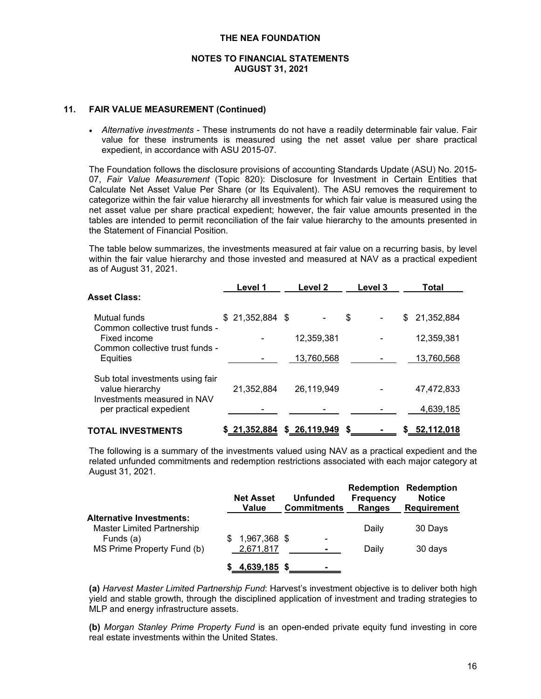### **11. FAIR VALUE MEASUREMENT (Continued)**

 *Alternative investments* - These instruments do not have a readily determinable fair value. Fair value for these instruments is measured using the net asset value per share practical expedient, in accordance with ASU 2015-07.

The Foundation follows the disclosure provisions of accounting Standards Update (ASU) No. 2015- 07, *Fair Value Measurement* (Topic 820): Disclosure for Investment in Certain Entities that Calculate Net Asset Value Per Share (or Its Equivalent). The ASU removes the requirement to categorize within the fair value hierarchy all investments for which fair value is measured using the net asset value per share practical expedient; however, the fair value amounts presented in the tables are intended to permit reconciliation of the fair value hierarchy to the amounts presented in the Statement of Financial Position.

The table below summarizes, the investments measured at fair value on a recurring basis, by level within the fair value hierarchy and those invested and measured at NAV as a practical expedient as of August 31, 2021.

|                                                                                    | Level 1          | Level 2      | Level 3 | Total            |
|------------------------------------------------------------------------------------|------------------|--------------|---------|------------------|
| <b>Asset Class:</b>                                                                |                  |              |         |                  |
| Mutual funds<br>Common collective trust funds -                                    | $$21,352,884$ \$ |              | \$      | 21,352,884<br>\$ |
| Fixed income<br>Common collective trust funds -                                    |                  | 12,359,381   |         | 12,359,381       |
| Equities                                                                           |                  | 13,760,568   |         | 13,760,568       |
| Sub total investments using fair<br>value hierarchy<br>Investments measured in NAV | 21,352,884       | 26,119,949   |         | 47,472,833       |
| per practical expedient                                                            |                  |              |         | 4,639,185        |
| TOTAL INVESTMENTS                                                                  | \$21,352,884     | \$26,119,949 | S       | \$52,112,018     |

The following is a summary of the investments valued using NAV as a practical expedient and the related unfunded commitments and redemption restrictions associated with each major category at August 31, 2021.

|                                   | <b>Net Asset</b><br>Value | <b>Unfunded</b><br><b>Commitments</b> | <b>Frequency</b><br><b>Ranges</b> | <b>Redemption Redemption</b><br><b>Notice</b><br><b>Requirement</b> |
|-----------------------------------|---------------------------|---------------------------------------|-----------------------------------|---------------------------------------------------------------------|
| <b>Alternative Investments:</b>   |                           |                                       |                                   |                                                                     |
| <b>Master Limited Partnership</b> |                           |                                       | Daily                             | 30 Days                                                             |
| Funds (a)                         | 1,967,368 \$<br>\$.       | $\blacksquare$                        |                                   |                                                                     |
| MS Prime Property Fund (b)        | 2,671,817                 | -                                     | Daily                             | 30 days                                                             |
|                                   | 4,639,185 \$<br>S.        |                                       |                                   |                                                                     |

**(a)** *Harvest Master Limited Partnership Fund*: Harvest's investment objective is to deliver both high yield and stable growth, through the disciplined application of investment and trading strategies to MLP and energy infrastructure assets.

**(b)** *Morgan Stanley Prime Property Fund* is an open-ended private equity fund investing in core real estate investments within the United States.